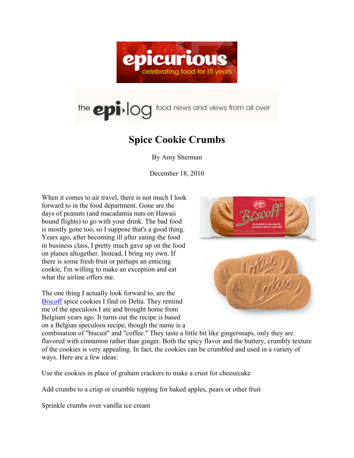

## the epi-log food news and views from all over

## **Spice Cookie Crumbs**

By Amy Sherman

December 18, 2010

When it comes to air travel, there is not much I look forward to in the food department. Gone are the days of peanuts (and macadamia nuts on Hawaii bound flights) to go with your drink. The bad food is mostly gone too, so I suppose that's a good thing. Years ago, after becoming ill after eating the food in business class, I pretty much gave up on the food on planes altogether. Instead, I bring my own. If there is some fresh fruit or perhaps an enticing cookie, I'm willing to make an exception and eat what the airline offers me.

The one thing I actually look forward to, are the Biscoff spice cookies I find on Delta. They remind me of the speculoos I ate and brought home from Belgium years ago. It turns out the recipe is based on a Belgian speculoos recipe, though the name is a



combination of "biscuit" and "coffee." They taste a little bit like gingersnaps, only they are flavored with cinnamon rather than ginger. Both the spicy flavor and the buttery, crumbly texture of the cookies is very appealing. In fact, the cookies can be crumbled and used in a variety of ways. Here are a few ideas:

Use the cookies in place of graham crackers to make a crust for cheesecake

Add crumbs to a crisp or crumble topping for baked apples, pears or other fruit

Sprinkle crumbs over vanilla ice cream